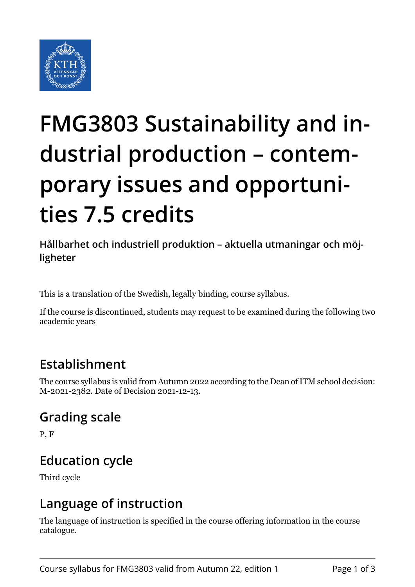

# **FMG3803 Sustainability and industrial production – contemporary issues and opportunities 7.5 credits**

**Hållbarhet och industriell produktion – aktuella utmaningar och möjligheter**

This is a translation of the Swedish, legally binding, course syllabus.

If the course is discontinued, students may request to be examined during the following two academic years

### **Establishment**

The course syllabus is valid from Autumn 2022 according to the Dean of ITM school decision: M-2021-2382. Date of Decision 2021-12-13.

### **Grading scale**

P, F

### **Education cycle**

Third cycle

### **Language of instruction**

The language of instruction is specified in the course offering information in the course catalogue.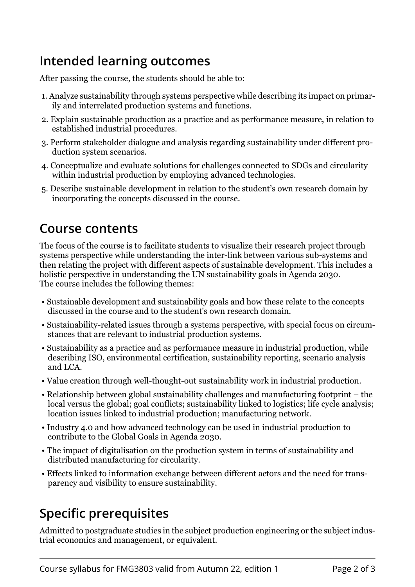### **Intended learning outcomes**

After passing the course, the students should be able to:

- 1. Analyze sustainability through systems perspective while describing its impact on primarily and interrelated production systems and functions.
- 2. Explain sustainable production as a practice and as performance measure, in relation to established industrial procedures.
- 3. Perform stakeholder dialogue and analysis regarding sustainability under different production system scenarios.
- 4. Conceptualize and evaluate solutions for challenges connected to SDGs and circularity within industrial production by employing advanced technologies.
- 5. Describe sustainable development in relation to the student's own research domain by incorporating the concepts discussed in the course.

### **Course contents**

The focus of the course is to facilitate students to visualize their research project through systems perspective while understanding the inter-link between various sub-systems and then relating the project with different aspects of sustainable development. This includes a holistic perspective in understanding the UN sustainability goals in Agenda 2030. The course includes the following themes:

- Sustainable development and sustainability goals and how these relate to the concepts discussed in the course and to the student's own research domain.
- Sustainability-related issues through a systems perspective, with special focus on circumstances that are relevant to industrial production systems.
- Sustainability as a practice and as performance measure in industrial production, while describing ISO, environmental certification, sustainability reporting, scenario analysis and LCA.
- Value creation through well-thought-out sustainability work in industrial production.
- Relationship between global sustainability challenges and manufacturing footprint the local versus the global; goal conflicts; sustainability linked to logistics; life cycle analysis; location issues linked to industrial production; manufacturing network.
- Industry 4.0 and how advanced technology can be used in industrial production to contribute to the Global Goals in Agenda 2030.
- The impact of digitalisation on the production system in terms of sustainability and distributed manufacturing for circularity.
- Effects linked to information exchange between different actors and the need for transparency and visibility to ensure sustainability.

## **Specific prerequisites**

Admitted to postgraduate studies in the subject production engineering or the subject industrial economics and management, or equivalent.